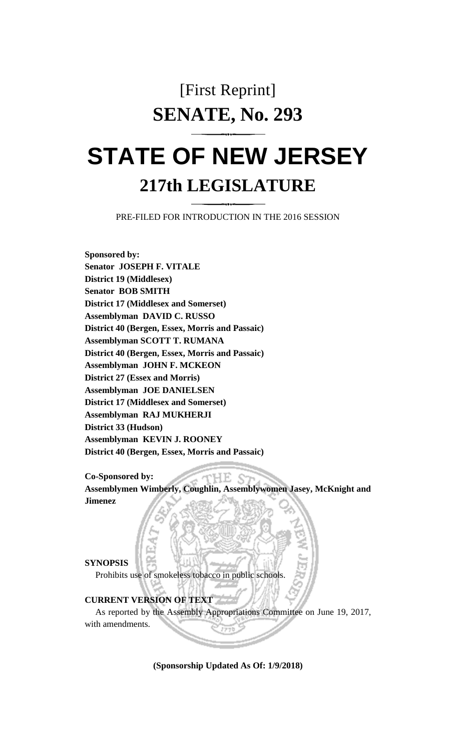## [First Reprint] **SENATE, No. 293**

# **STATE OF NEW JERSEY 217th LEGISLATURE**

PRE-FILED FOR INTRODUCTION IN THE 2016 SESSION

**Sponsored by: Senator JOSEPH F. VITALE District 19 (Middlesex) Senator BOB SMITH District 17 (Middlesex and Somerset) Assemblyman DAVID C. RUSSO District 40 (Bergen, Essex, Morris and Passaic) Assemblyman SCOTT T. RUMANA District 40 (Bergen, Essex, Morris and Passaic) Assemblyman JOHN F. MCKEON District 27 (Essex and Morris) Assemblyman JOE DANIELSEN District 17 (Middlesex and Somerset) Assemblyman RAJ MUKHERJI District 33 (Hudson) Assemblyman KEVIN J. ROONEY District 40 (Bergen, Essex, Morris and Passaic)**

**Co-Sponsored by:**

**Assemblymen Wimberly, Coughlin, Assemblywomen Jasey, McKnight and Jimenez**

HE.

#### **SYNOPSIS**

Prohibits use of smokeless tobacco in public schools.

### **CURRENT VERSION OF TEXT**

As reported by the Assembly Appropriations Committee on June 19, 2017, with amendments.

**(Sponsorship Updated As Of: 1/9/2018)**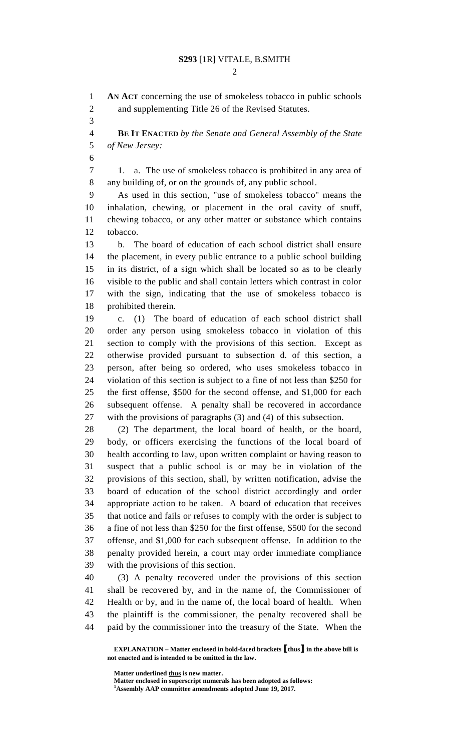#### **S293** [1R] VITALE, B.SMITH

 $\mathcal{D}_{\mathcal{L}}$ 

 **AN ACT** concerning the use of smokeless tobacco in public schools and supplementing Title 26 of the Revised Statutes.

 **BE IT ENACTED** *by the Senate and General Assembly of the State of New Jersey:*

 1. a. The use of smokeless tobacco is prohibited in any area of any building of, or on the grounds of, any public school.

 As used in this section, "use of smokeless tobacco" means the inhalation, chewing, or placement in the oral cavity of snuff, chewing tobacco, or any other matter or substance which contains tobacco.

 b. The board of education of each school district shall ensure the placement, in every public entrance to a public school building in its district, of a sign which shall be located so as to be clearly visible to the public and shall contain letters which contrast in color with the sign, indicating that the use of smokeless tobacco is prohibited therein.

 c. (1) The board of education of each school district shall order any person using smokeless tobacco in violation of this section to comply with the provisions of this section. Except as otherwise provided pursuant to subsection d. of this section, a person, after being so ordered, who uses smokeless tobacco in violation of this section is subject to a fine of not less than \$250 for the first offense, \$500 for the second offense, and \$1,000 for each subsequent offense. A penalty shall be recovered in accordance with the provisions of paragraphs (3) and (4) of this subsection.

 (2) The department, the local board of health, or the board, body, or officers exercising the functions of the local board of health according to law, upon written complaint or having reason to suspect that a public school is or may be in violation of the provisions of this section, shall, by written notification, advise the board of education of the school district accordingly and order appropriate action to be taken. A board of education that receives that notice and fails or refuses to comply with the order is subject to a fine of not less than \$250 for the first offense, \$500 for the second offense, and \$1,000 for each subsequent offense. In addition to the penalty provided herein, a court may order immediate compliance with the provisions of this section.

 (3) A penalty recovered under the provisions of this section shall be recovered by, and in the name of, the Commissioner of Health or by, and in the name of, the local board of health. When the plaintiff is the commissioner, the penalty recovered shall be paid by the commissioner into the treasury of the State. When the

**Matter underlined thus is new matter.**

**Matter enclosed in superscript numerals has been adopted as follows: Assembly AAP committee amendments adopted June 19, 2017.**

**EXPLANATION – Matter enclosed in bold-faced brackets [thus] in the above bill is not enacted and is intended to be omitted in the law.**